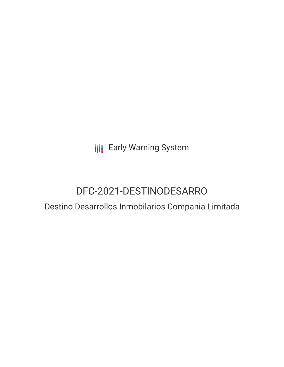**III** Early Warning System

# DFC-2021-DESTINODESARRO

### Destino Desarrollos Inmobilarios Compania Limitada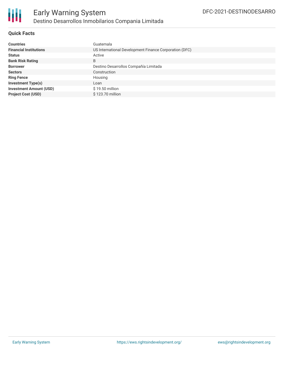

#### **Quick Facts**

| <b>Countries</b>               | Guatemala                                              |
|--------------------------------|--------------------------------------------------------|
|                                |                                                        |
| <b>Financial Institutions</b>  | US International Development Finance Corporation (DFC) |
| <b>Status</b>                  | Active                                                 |
| <b>Bank Risk Rating</b>        | B                                                      |
| <b>Borrower</b>                | Destino Desarrollos Compañía Limitada                  |
| <b>Sectors</b>                 | Construction                                           |
| <b>Ring Fence</b>              | Housing                                                |
| <b>Investment Type(s)</b>      | Loan                                                   |
| <b>Investment Amount (USD)</b> | \$19.50 million                                        |
| <b>Project Cost (USD)</b>      | \$123.70 million                                       |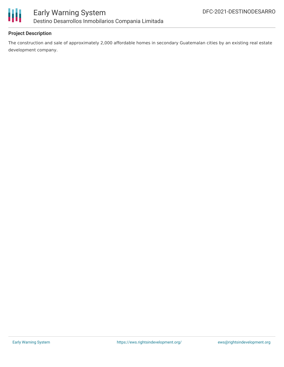

#### **Project Description**

The construction and sale of approximately 2,000 affordable homes in secondary Guatemalan cities by an existing real estate development company.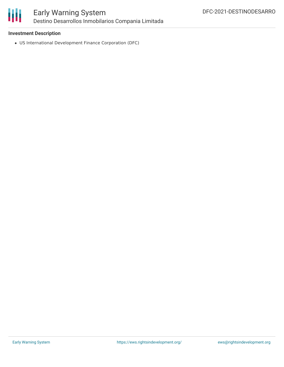

#### **Investment Description**

US International Development Finance Corporation (DFC)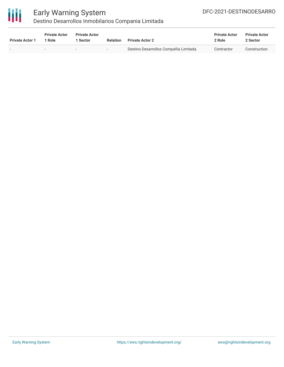

## Early Warning System

Destino Desarrollos Inmobilarios Compania Limitada

| <b>Private Actor 1</b>   | <b>Private Actor</b><br>1 Role | <b>Private Actor</b><br>1 Sector | Relation                 | <b>Private Actor 2</b>                | <b>Private Actor</b><br>2 Role | <b>Private Actor</b><br>2 Sector |
|--------------------------|--------------------------------|----------------------------------|--------------------------|---------------------------------------|--------------------------------|----------------------------------|
| $\overline{\phantom{0}}$ | $\sim$                         |                                  | $\overline{\phantom{a}}$ | Destino Desarrollos Compañía Limitada | Contractor                     | Construction                     |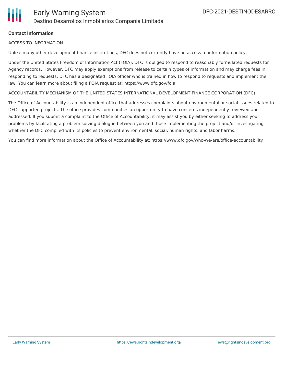#### **Contact Information**

#### ACCESS TO INFORMATION

Unlike many other development finance institutions, DFC does not currently have an access to information policy.

Under the United States Freedom of Information Act (FOIA), DFC is obliged to respond to reasonably formulated requests for Agency records. However, DFC may apply exemptions from release to certain types of information and may charge fees in responding to requests. DFC has a designated FOIA officer who is trained in how to respond to requests and implement the law. You can learn more about filing a FOIA request at: https://www.dfc.gov/foia

ACCOUNTABILITY MECHANISM OF THE UNITED STATES INTERNATIONAL DEVELOPMENT FINANCE CORPORATION (DFC)

The Office of Accountability is an independent office that addresses complaints about environmental or social issues related to DFC-supported projects. The office provides communities an opportunity to have concerns independently reviewed and addressed. If you submit a complaint to the Office of Accountability, it may assist you by either seeking to address your problems by facilitating a problem solving dialogue between you and those implementing the project and/or investigating whether the DFC complied with its policies to prevent environmental, social, human rights, and labor harms.

You can find more information about the Office of Accountability at: https://www.dfc.gov/who-we-are/office-accountability